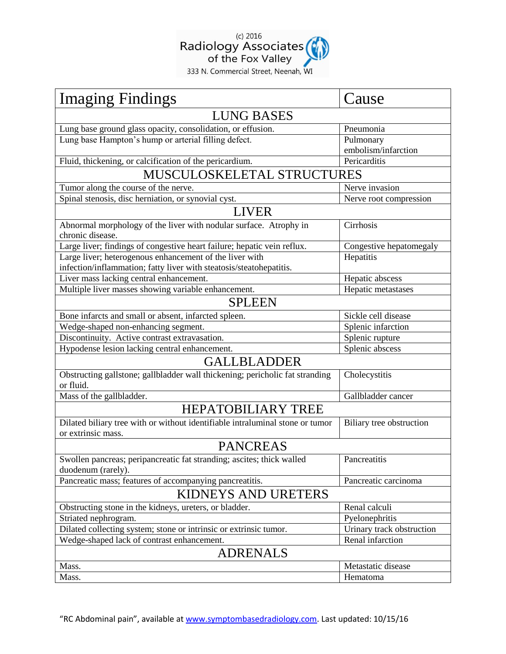

| <b>Imaging Findings</b>                                                       | Cause                     |  |
|-------------------------------------------------------------------------------|---------------------------|--|
| <b>LUNG BASES</b>                                                             |                           |  |
| Lung base ground glass opacity, consolidation, or effusion.                   | Pneumonia                 |  |
| Lung base Hampton's hump or arterial filling defect.                          | Pulmonary                 |  |
|                                                                               | embolism/infarction       |  |
| Fluid, thickening, or calcification of the pericardium.                       | Pericarditis              |  |
| MUSCULOSKELETAL STRUCTURES                                                    |                           |  |
| Tumor along the course of the nerve.                                          | Nerve invasion            |  |
| Spinal stenosis, disc herniation, or synovial cyst.                           | Nerve root compression    |  |
| <b>LIVER</b>                                                                  |                           |  |
| Abnormal morphology of the liver with nodular surface. Atrophy in             | Cirrhosis                 |  |
| chronic disease.                                                              |                           |  |
| Large liver; findings of congestive heart failure; hepatic vein reflux.       | Congestive hepatomegaly   |  |
| Large liver; heterogenous enhancement of the liver with                       | Hepatitis                 |  |
| infection/inflammation; fatty liver with steatosis/steatohepatitis.           |                           |  |
| Liver mass lacking central enhancement.                                       | Hepatic abscess           |  |
| Multiple liver masses showing variable enhancement.                           | Hepatic metastases        |  |
| <b>SPLEEN</b>                                                                 |                           |  |
| Bone infarcts and small or absent, infarcted spleen.                          | Sickle cell disease       |  |
| Wedge-shaped non-enhancing segment.                                           | Splenic infarction        |  |
| Discontinuity. Active contrast extravasation.                                 | Splenic rupture           |  |
| Hypodense lesion lacking central enhancement.                                 | Splenic abscess           |  |
| <b>GALLBLADDER</b>                                                            |                           |  |
| Obstructing gallstone; gallbladder wall thickening; pericholic fat stranding  | Cholecystitis             |  |
| or fluid.                                                                     |                           |  |
| Mass of the gallbladder.                                                      | Gallbladder cancer        |  |
| <b>HEPATOBILIARY TREE</b>                                                     |                           |  |
| Dilated biliary tree with or without identifiable intraluminal stone or tumor | Biliary tree obstruction  |  |
| or extrinsic mass.                                                            |                           |  |
| <b>PANCREAS</b>                                                               |                           |  |
| Swollen pancreas; peripancreatic fat stranding; ascites; thick walled         | Pancreatitis              |  |
| duodenum (rarely).                                                            |                           |  |
| Pancreatic mass; features of accompanying pancreatitis.                       | Pancreatic carcinoma      |  |
| KIDNEYS AND URETERS                                                           |                           |  |
| Obstructing stone in the kidneys, ureters, or bladder.                        | Renal calculi             |  |
| Striated nephrogram.                                                          | Pyelonephritis            |  |
| Dilated collecting system; stone or intrinsic or extrinsic tumor.             | Urinary track obstruction |  |
| Wedge-shaped lack of contrast enhancement.                                    | Renal infarction          |  |
| <b>ADRENALS</b>                                                               |                           |  |
| Mass.                                                                         | Metastatic disease        |  |
| Mass.                                                                         | Hematoma                  |  |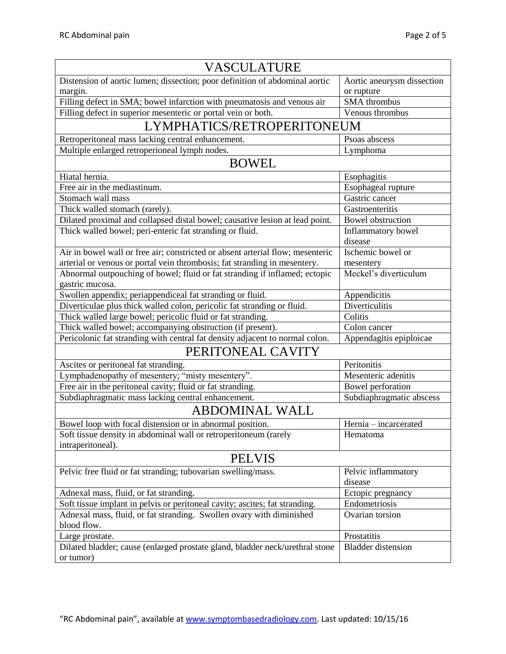| VASCULATURE                                                                         |                            |  |
|-------------------------------------------------------------------------------------|----------------------------|--|
| Distension of aortic lumen; dissection; poor definition of abdominal aortic         | Aortic aneurysm dissection |  |
| margin.                                                                             | or rupture                 |  |
| Filling defect in SMA; bowel infarction with pneumatosis and venous air             | <b>SMA</b> thrombus        |  |
| Filling defect in superior mesenteric or portal vein or both.                       | Venous thrombus            |  |
| LYMPHATICS/RETROPERITONEUM                                                          |                            |  |
| Retroperitoneal mass lacking central enhancement.                                   | Psoas abscess              |  |
| Multiple enlarged retroperioneal lymph nodes.                                       | Lymphoma                   |  |
| <b>BOWEL</b>                                                                        |                            |  |
| Hiatal hernia.                                                                      | Esophagitis                |  |
| Free air in the mediastinum.                                                        | Esophageal rupture         |  |
| Stomach wall mass                                                                   | Gastric cancer             |  |
| Thick walled stomach (rarely).                                                      | Gastroenteritis            |  |
| Dilated proximal and collapsed distal bowel; causative lesion at lead point.        | <b>Bowel</b> obstruction   |  |
| Thick walled bowel; peri-enteric fat stranding or fluid.                            | <b>Inflammatory</b> bowel  |  |
|                                                                                     | disease                    |  |
| Air in bowel wall or free air; constricted or absent arterial flow; mesenteric      | Ischemic bowel or          |  |
| arterial or venous or portal vein thrombosis; fat stranding in mesentery.           | mesentery                  |  |
| Abnormal outpouching of bowel; fluid or fat stranding if inflamed; ectopic          | Meckel's diverticulum      |  |
| gastric mucosa.                                                                     |                            |  |
| Swollen appendix; periappendiceal fat stranding or fluid.                           | Appendicitis               |  |
| Diverticulae plus thick walled colon, pericolic fat stranding or fluid.             | Diverticulitis             |  |
| Thick walled large bowel; pericolic fluid or fat stranding.                         | Colitis                    |  |
| Thick walled bowel; accompanying obstruction (if present).                          | Colon cancer               |  |
| Pericolonic fat stranding with central fat density adjacent to normal colon.        | Appendagitis epiploicae    |  |
| PERITONEAL CAVITY                                                                   |                            |  |
| Ascites or peritoneal fat stranding.                                                | Peritonitis                |  |
| Lymphadenopathy of mesentery; "misty mesentery".                                    | Mesenteric adenitis        |  |
| Free air in the peritoneal cavity; fluid or fat stranding.                          | Bowel perforation          |  |
| Subdiaphragmatic mass lacking central enhancement.                                  | Subdiaphragmatic abscess   |  |
| <b>ABDOMINAL WALL</b>                                                               |                            |  |
| Bowel loop with focal distension or in abnormal position.                           | Hernia - incarcerated      |  |
| Soft tissue density in abdominal wall or retroperitoneum (rarely                    | Hematoma                   |  |
| intraperitoneal).                                                                   |                            |  |
| <b>PELVIS</b>                                                                       |                            |  |
| Pelvic free fluid or fat stranding; tubovarian swelling/mass.                       | Pelvic inflammatory        |  |
|                                                                                     | disease                    |  |
| Adnexal mass, fluid, or fat stranding.                                              | Ectopic pregnancy          |  |
| Soft tissue implant in pelvis or peritoneal cavity; ascites; fat stranding.         | Endometriosis              |  |
| Adnexal mass, fluid, or fat stranding. Swollen ovary with diminished<br>blood flow. | Ovarian torsion            |  |
| Large prostate.                                                                     | Prostatitis                |  |
| Dilated bladder; cause (enlarged prostate gland, bladder neck/urethral stone        | <b>Bladder</b> distension  |  |
| or tumor)                                                                           |                            |  |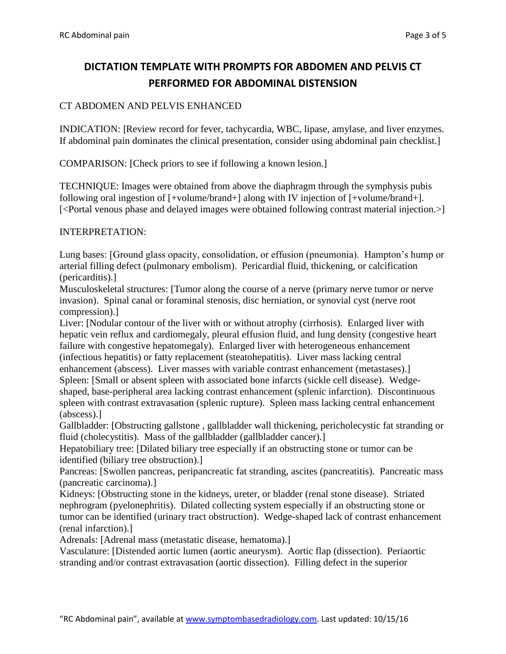# **DICTATION TEMPLATE WITH PROMPTS FOR ABDOMEN AND PELVIS CT PERFORMED FOR ABDOMINAL DISTENSION**

## CT ABDOMEN AND PELVIS ENHANCED

INDICATION: [Review record for fever, tachycardia, WBC, lipase, amylase, and liver enzymes. If abdominal pain dominates the clinical presentation, consider using abdominal pain checklist.]

COMPARISON: [Check priors to see if following a known lesion.]

TECHNIQUE: Images were obtained from above the diaphragm through the symphysis pubis following oral ingestion of [+volume/brand+] along with IV injection of [+volume/brand+]. [<Portal venous phase and delayed images were obtained following contrast material injection.>]

#### INTERPRETATION:

Lung bases: [Ground glass opacity, consolidation, or effusion (pneumonia). Hampton's hump or arterial filling defect (pulmonary embolism). Pericardial fluid, thickening, or calcification (pericarditis).]

Musculoskeletal structures: [Tumor along the course of a nerve (primary nerve tumor or nerve invasion). Spinal canal or foraminal stenosis, disc herniation, or synovial cyst (nerve root compression).]

Liver: [Nodular contour of the liver with or without atrophy (cirrhosis). Enlarged liver with hepatic vein reflux and cardiomegaly, pleural effusion fluid, and lung density (congestive heart failure with congestive hepatomegaly). Enlarged liver with heterogeneous enhancement (infectious hepatitis) or fatty replacement (steatohepatitis). Liver mass lacking central enhancement (abscess). Liver masses with variable contrast enhancement (metastases).] Spleen: [Small or absent spleen with associated bone infarcts (sickle cell disease). Wedgeshaped, base-peripheral area lacking contrast enhancement (splenic infarction). Discontinuous spleen with contrast extravasation (splenic rupture). Spleen mass lacking central enhancement (abscess).]

Gallbladder: [Obstructing gallstone , gallbladder wall thickening, pericholecystic fat stranding or fluid (cholecystitis). Mass of the gallbladder (gallbladder cancer).

Hepatobiliary tree: [Dilated biliary tree especially if an obstructing stone or tumor can be identified (biliary tree obstruction).]

Pancreas: [Swollen pancreas, peripancreatic fat stranding, ascites (pancreatitis). Pancreatic mass (pancreatic carcinoma).]

Kidneys: [Obstructing stone in the kidneys, ureter, or bladder (renal stone disease). Striated nephrogram (pyelonephritis). Dilated collecting system especially if an obstructing stone or tumor can be identified (urinary tract obstruction). Wedge-shaped lack of contrast enhancement (renal infarction).]

Adrenals: [Adrenal mass (metastatic disease, hematoma).]

Vasculature: [Distended aortic lumen (aortic aneurysm). Aortic flap (dissection). Periaortic stranding and/or contrast extravasation (aortic dissection). Filling defect in the superior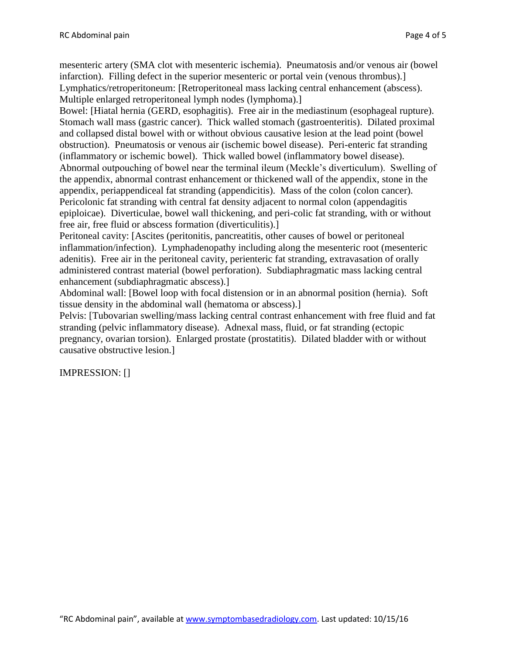mesenteric artery (SMA clot with mesenteric ischemia). Pneumatosis and/or venous air (bowel infarction). Filling defect in the superior mesenteric or portal vein (venous thrombus).] Lymphatics/retroperitoneum: [Retroperitoneal mass lacking central enhancement (abscess). Multiple enlarged retroperitoneal lymph nodes (lymphoma).]

Bowel: [Hiatal hernia (GERD, esophagitis). Free air in the mediastinum (esophageal rupture). Stomach wall mass (gastric cancer). Thick walled stomach (gastroenteritis). Dilated proximal and collapsed distal bowel with or without obvious causative lesion at the lead point (bowel obstruction). Pneumatosis or venous air (ischemic bowel disease). Peri-enteric fat stranding (inflammatory or ischemic bowel). Thick walled bowel (inflammatory bowel disease). Abnormal outpouching of bowel near the terminal ileum (Meckle's diverticulum). Swelling of the appendix, abnormal contrast enhancement or thickened wall of the appendix, stone in the appendix, periappendiceal fat stranding (appendicitis). Mass of the colon (colon cancer). Pericolonic fat stranding with central fat density adjacent to normal colon (appendagitis epiploicae). Diverticulae, bowel wall thickening, and peri-colic fat stranding, with or without free air, free fluid or abscess formation (diverticulitis).]

Peritoneal cavity: [Ascites (peritonitis, pancreatitis, other causes of bowel or peritoneal inflammation/infection). Lymphadenopathy including along the mesenteric root (mesenteric adenitis). Free air in the peritoneal cavity, perienteric fat stranding, extravasation of orally administered contrast material (bowel perforation). Subdiaphragmatic mass lacking central enhancement (subdiaphragmatic abscess).]

Abdominal wall: [Bowel loop with focal distension or in an abnormal position (hernia). Soft tissue density in the abdominal wall (hematoma or abscess).]

Pelvis: [Tubovarian swelling/mass lacking central contrast enhancement with free fluid and fat stranding (pelvic inflammatory disease). Adnexal mass, fluid, or fat stranding (ectopic pregnancy, ovarian torsion). Enlarged prostate (prostatitis). Dilated bladder with or without causative obstructive lesion.]

IMPRESSION: []